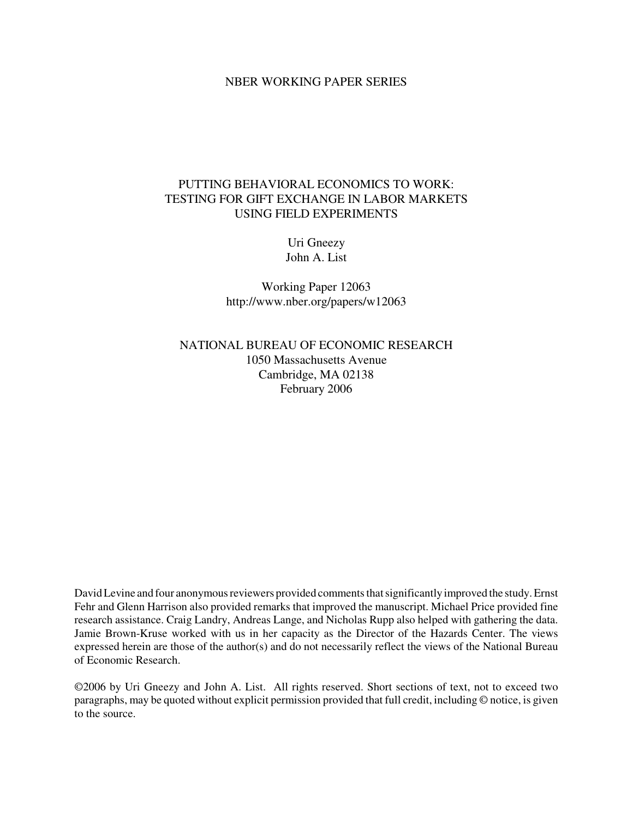### NBER WORKING PAPER SERIES

# PUTTING BEHAVIORAL ECONOMICS TO WORK: TESTING FOR GIFT EXCHANGE IN LABOR MARKETS USING FIELD EXPERIMENTS

Uri Gneezy John A. List

Working Paper 12063 http://www.nber.org/papers/w12063

NATIONAL BUREAU OF ECONOMIC RESEARCH 1050 Massachusetts Avenue Cambridge, MA 02138 February 2006

David Levine and four anonymous reviewers provided comments that significantly improved the study. Ernst Fehr and Glenn Harrison also provided remarks that improved the manuscript. Michael Price provided fine research assistance. Craig Landry, Andreas Lange, and Nicholas Rupp also helped with gathering the data. Jamie Brown-Kruse worked with us in her capacity as the Director of the Hazards Center. The views expressed herein are those of the author(s) and do not necessarily reflect the views of the National Bureau of Economic Research.

©2006 by Uri Gneezy and John A. List. All rights reserved. Short sections of text, not to exceed two paragraphs, may be quoted without explicit permission provided that full credit, including © notice, is given to the source.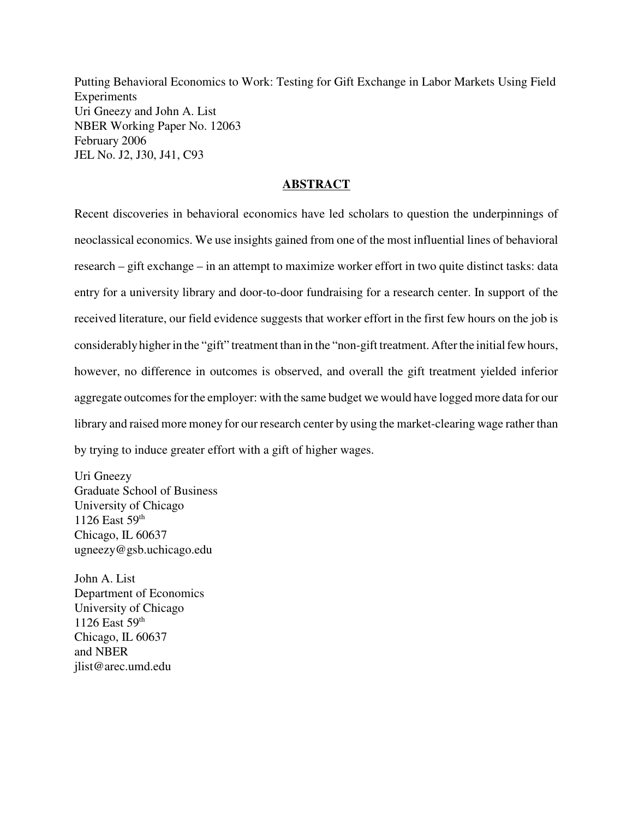Putting Behavioral Economics to Work: Testing for Gift Exchange in Labor Markets Using Field Experiments Uri Gneezy and John A. List NBER Working Paper No. 12063 February 2006 JEL No. J2, J30, J41, C93

### **ABSTRACT**

Recent discoveries in behavioral economics have led scholars to question the underpinnings of neoclassical economics. We use insights gained from one of the most influential lines of behavioral research – gift exchange – in an attempt to maximize worker effort in two quite distinct tasks: data entry for a university library and door-to-door fundraising for a research center. In support of the received literature, our field evidence suggests that worker effort in the first few hours on the job is considerably higher in the "gift" treatment than in the "non-gift treatment. After the initial few hours, however, no difference in outcomes is observed, and overall the gift treatment yielded inferior aggregate outcomes for the employer: with the same budget we would have logged more data for our library and raised more money for our research center by using the market-clearing wage rather than by trying to induce greater effort with a gift of higher wages.

Uri Gneezy Graduate School of Business University of Chicago 1126 East 59th Chicago, IL 60637 ugneezy@gsb.uchicago.edu

John A. List Department of Economics University of Chicago 1126 East 59th Chicago, IL 60637 and NBER jlist@arec.umd.edu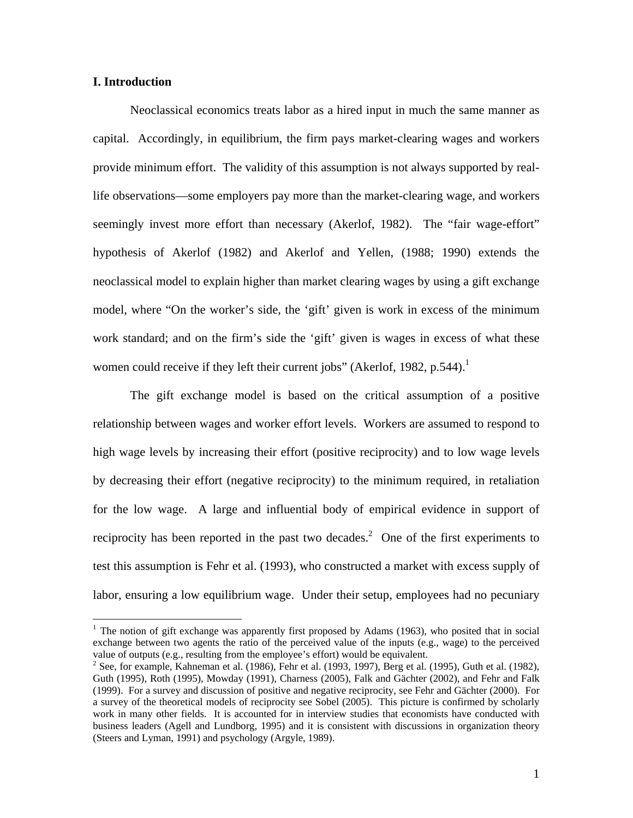# **I. Introduction**

1

Neoclassical economics treats labor as a hired input in much the same manner as capital. Accordingly, in equilibrium, the firm pays market-clearing wages and workers provide minimum effort. The validity of this assumption is not always supported by reallife observations—some employers pay more than the market-clearing wage, and workers seemingly invest more effort than necessary (Akerlof, 1982). The "fair wage-effort" hypothesis of Akerlof (1982) and Akerlof and Yellen, (1988; 1990) extends the neoclassical model to explain higher than market clearing wages by using a gift exchange model, where "On the worker's side, the 'gift' given is work in excess of the minimum work standard; and on the firm's side the 'gift' given is wages in excess of what these women could receive if they left their current jobs" (Akerlof, 1982, p.544).<sup>1</sup>

The gift exchange model is based on the critical assumption of a positive relationship between wages and worker effort levels. Workers are assumed to respond to high wage levels by increasing their effort (positive reciprocity) and to low wage levels by decreasing their effort (negative reciprocity) to the minimum required, in retaliation for the low wage. A large and influential body of empirical evidence in support of reciprocity has been reported in the past two decades.<sup>2</sup> One of the first experiments to test this assumption is Fehr et al. (1993), who constructed a market with excess supply of labor, ensuring a low equilibrium wage. Under their setup, employees had no pecuniary

 $1$  The notion of gift exchange was apparently first proposed by Adams (1963), who posited that in social exchange between two agents the ratio of the perceived value of the inputs (e.g., wage) to the perceived value of outputs (e.g., resulting from the employee's effort) would be equivalent.

<sup>&</sup>lt;sup>2</sup> See, for example, Kahneman et al. (1986), Fehr et al. (1993, 1997), Berg et al. (1995), Guth et al. (1982), Guth (1995), Roth (1995), Mowday (1991), Charness (2005), Falk and Gächter (2002), and Fehr and Falk (1999). For a survey and discussion of positive and negative reciprocity, see Fehr and Gächter (2000). For a survey of the theoretical models of reciprocity see Sobel (2005). This picture is confirmed by scholarly work in many other fields. It is accounted for in interview studies that economists have conducted with business leaders (Agell and Lundborg, 1995) and it is consistent with discussions in organization theory (Steers and Lyman, 1991) and psychology (Argyle, 1989).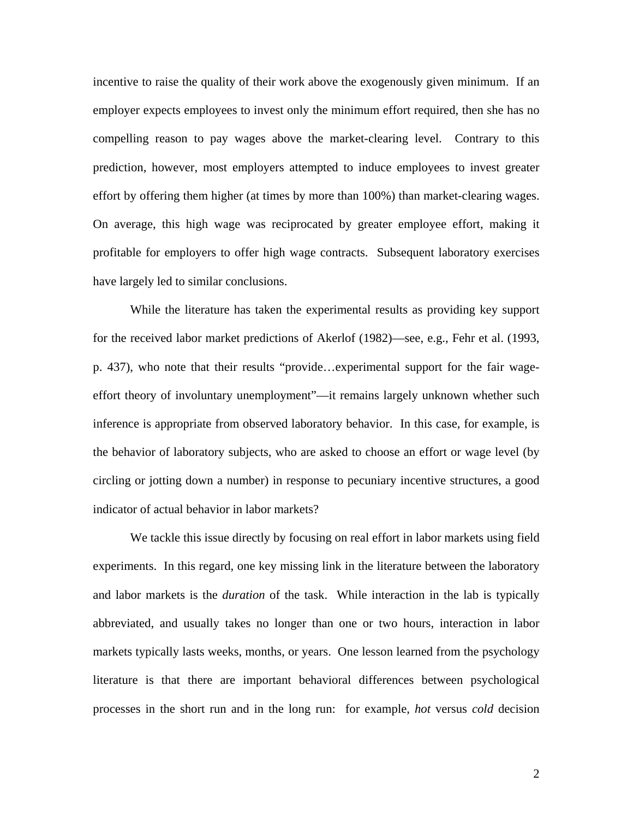incentive to raise the quality of their work above the exogenously given minimum. If an employer expects employees to invest only the minimum effort required, then she has no compelling reason to pay wages above the market-clearing level. Contrary to this prediction, however, most employers attempted to induce employees to invest greater effort by offering them higher (at times by more than 100%) than market-clearing wages. On average, this high wage was reciprocated by greater employee effort, making it profitable for employers to offer high wage contracts. Subsequent laboratory exercises have largely led to similar conclusions.

While the literature has taken the experimental results as providing key support for the received labor market predictions of Akerlof (1982)—see, e.g., Fehr et al. (1993, p. 437), who note that their results "provide…experimental support for the fair wageeffort theory of involuntary unemployment"—it remains largely unknown whether such inference is appropriate from observed laboratory behavior. In this case, for example, is the behavior of laboratory subjects, who are asked to choose an effort or wage level (by circling or jotting down a number) in response to pecuniary incentive structures, a good indicator of actual behavior in labor markets?

We tackle this issue directly by focusing on real effort in labor markets using field experiments. In this regard, one key missing link in the literature between the laboratory and labor markets is the *duration* of the task. While interaction in the lab is typically abbreviated, and usually takes no longer than one or two hours, interaction in labor markets typically lasts weeks, months, or years. One lesson learned from the psychology literature is that there are important behavioral differences between psychological processes in the short run and in the long run: for example, *hot* versus *cold* decision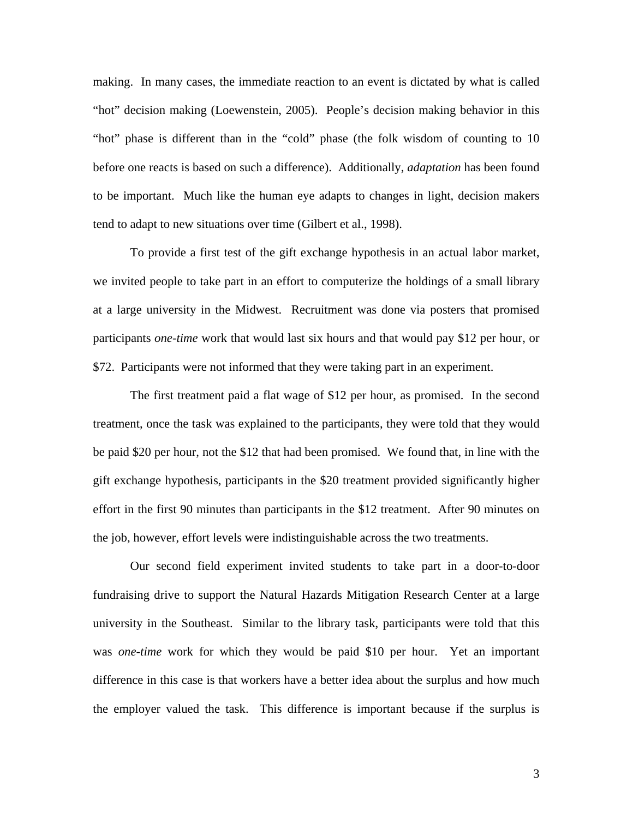making. In many cases, the immediate reaction to an event is dictated by what is called "hot" decision making (Loewenstein, 2005). People's decision making behavior in this "hot" phase is different than in the "cold" phase (the folk wisdom of counting to 10 before one reacts is based on such a difference). Additionally, *adaptation* has been found to be important. Much like the human eye adapts to changes in light, decision makers tend to adapt to new situations over time (Gilbert et al., 1998).

To provide a first test of the gift exchange hypothesis in an actual labor market, we invited people to take part in an effort to computerize the holdings of a small library at a large university in the Midwest. Recruitment was done via posters that promised participants *one-time* work that would last six hours and that would pay \$12 per hour, or \$72. Participants were not informed that they were taking part in an experiment.

The first treatment paid a flat wage of \$12 per hour, as promised. In the second treatment, once the task was explained to the participants, they were told that they would be paid \$20 per hour, not the \$12 that had been promised. We found that, in line with the gift exchange hypothesis, participants in the \$20 treatment provided significantly higher effort in the first 90 minutes than participants in the \$12 treatment. After 90 minutes on the job, however, effort levels were indistinguishable across the two treatments.

Our second field experiment invited students to take part in a door-to-door fundraising drive to support the Natural Hazards Mitigation Research Center at a large university in the Southeast. Similar to the library task, participants were told that this was *one-time* work for which they would be paid \$10 per hour. Yet an important difference in this case is that workers have a better idea about the surplus and how much the employer valued the task. This difference is important because if the surplus is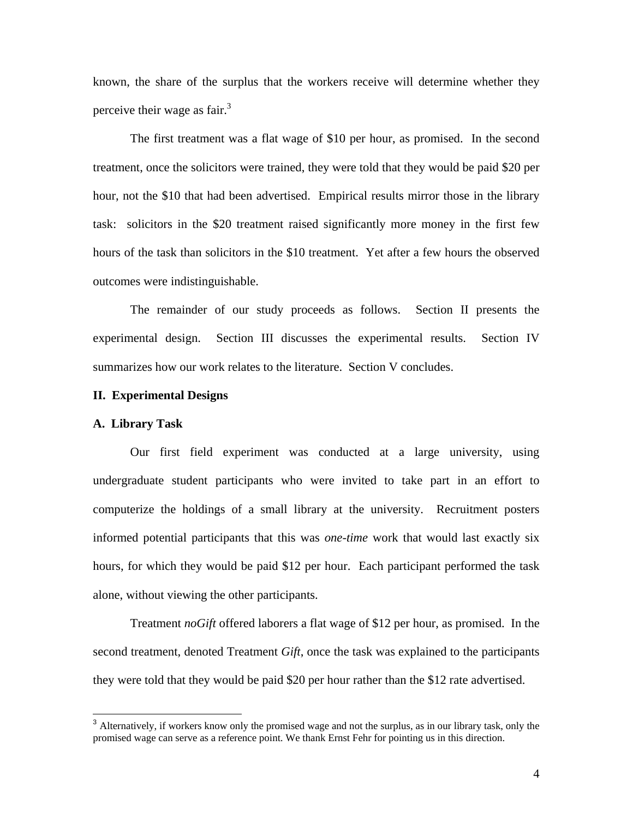known, the share of the surplus that the workers receive will determine whether they perceive their wage as fair.<sup>3</sup>

The first treatment was a flat wage of \$10 per hour, as promised. In the second treatment, once the solicitors were trained, they were told that they would be paid \$20 per hour, not the \$10 that had been advertised. Empirical results mirror those in the library task: solicitors in the \$20 treatment raised significantly more money in the first few hours of the task than solicitors in the \$10 treatment. Yet after a few hours the observed outcomes were indistinguishable.

The remainder of our study proceeds as follows. Section II presents the experimental design. Section III discusses the experimental results. Section IV summarizes how our work relates to the literature. Section V concludes.

### **II. Experimental Designs**

### **A. Library Task**

 $\overline{a}$ 

Our first field experiment was conducted at a large university, using undergraduate student participants who were invited to take part in an effort to computerize the holdings of a small library at the university. Recruitment posters informed potential participants that this was *one-time* work that would last exactly six hours, for which they would be paid \$12 per hour. Each participant performed the task alone, without viewing the other participants.

Treatment *noGift* offered laborers a flat wage of \$12 per hour, as promised. In the second treatment, denoted Treatment *Gift*, once the task was explained to the participants they were told that they would be paid \$20 per hour rather than the \$12 rate advertised.

<sup>&</sup>lt;sup>3</sup> Alternatively, if workers know only the promised wage and not the surplus, as in our library task, only the promised wage can serve as a reference point. We thank Ernst Fehr for pointing us in this direction.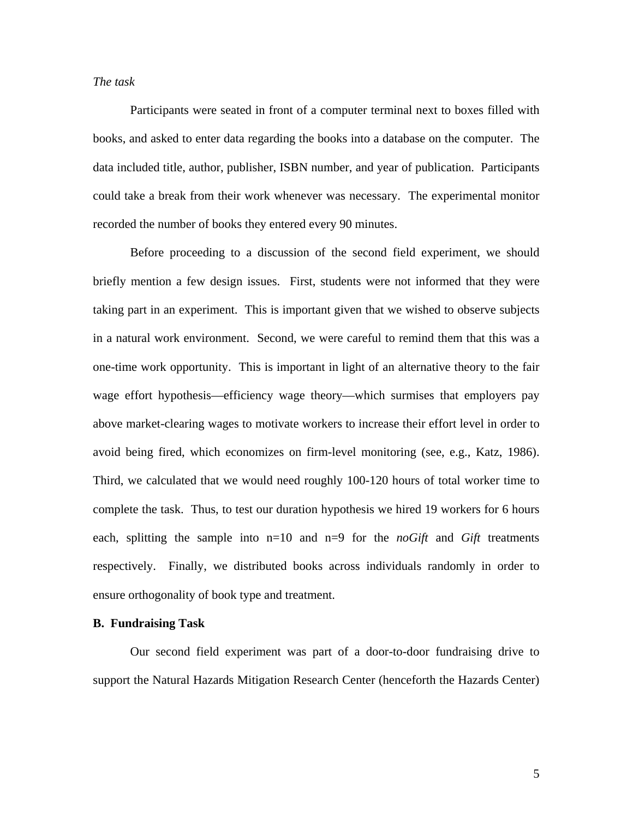# *The task*

 Participants were seated in front of a computer terminal next to boxes filled with books, and asked to enter data regarding the books into a database on the computer. The data included title, author, publisher, ISBN number, and year of publication. Participants could take a break from their work whenever was necessary. The experimental monitor recorded the number of books they entered every 90 minutes.

 Before proceeding to a discussion of the second field experiment, we should briefly mention a few design issues. First, students were not informed that they were taking part in an experiment. This is important given that we wished to observe subjects in a natural work environment. Second, we were careful to remind them that this was a one-time work opportunity. This is important in light of an alternative theory to the fair wage effort hypothesis—efficiency wage theory—which surmises that employers pay above market-clearing wages to motivate workers to increase their effort level in order to avoid being fired, which economizes on firm-level monitoring (see, e.g., Katz, 1986). Third, we calculated that we would need roughly 100-120 hours of total worker time to complete the task. Thus, to test our duration hypothesis we hired 19 workers for 6 hours each, splitting the sample into  $n=10$  and  $n=9$  for the *noGift* and *Gift* treatments respectively. Finally, we distributed books across individuals randomly in order to ensure orthogonality of book type and treatment.

### **B. Fundraising Task**

Our second field experiment was part of a door-to-door fundraising drive to support the Natural Hazards Mitigation Research Center (henceforth the Hazards Center)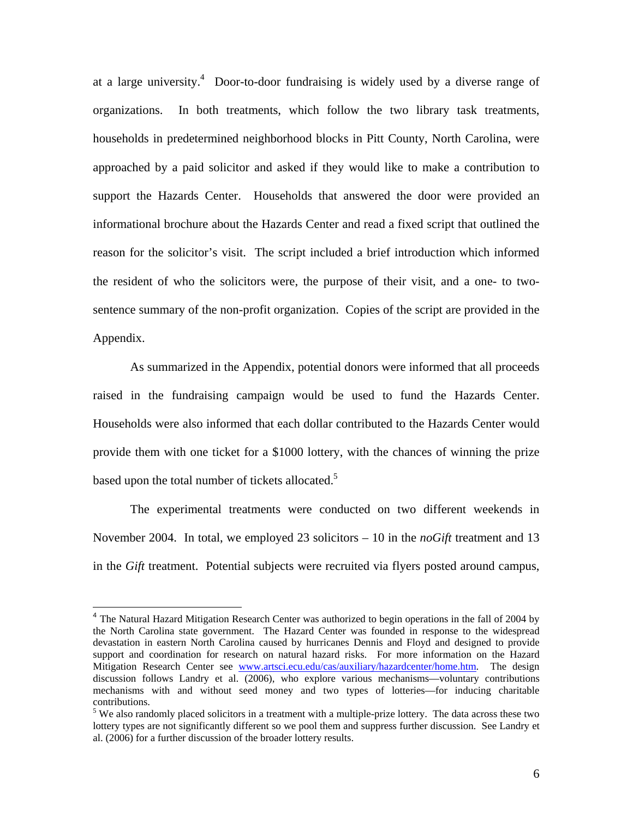at a large university.<sup>4</sup> Door-to-door fundraising is widely used by a diverse range of organizations. In both treatments, which follow the two library task treatments, households in predetermined neighborhood blocks in Pitt County, North Carolina, were approached by a paid solicitor and asked if they would like to make a contribution to support the Hazards Center. Households that answered the door were provided an informational brochure about the Hazards Center and read a fixed script that outlined the reason for the solicitor's visit. The script included a brief introduction which informed the resident of who the solicitors were, the purpose of their visit, and a one- to twosentence summary of the non-profit organization. Copies of the script are provided in the Appendix.

 As summarized in the Appendix, potential donors were informed that all proceeds raised in the fundraising campaign would be used to fund the Hazards Center. Households were also informed that each dollar contributed to the Hazards Center would provide them with one ticket for a \$1000 lottery, with the chances of winning the prize based upon the total number of tickets allocated.<sup>5</sup>

 The experimental treatments were conducted on two different weekends in November 2004. In total, we employed 23 solicitors – 10 in the *noGift* treatment and 13 in the *Gift* treatment. Potential subjects were recruited via flyers posted around campus,

1

<sup>&</sup>lt;sup>4</sup> The Natural Hazard Mitigation Research Center was authorized to begin operations in the fall of 2004 by the North Carolina state government. The Hazard Center was founded in response to the widespread devastation in eastern North Carolina caused by hurricanes Dennis and Floyd and designed to provide support and coordination for research on natural hazard risks. For more information on the Hazard Mitigation Research Center see www.artsci.ecu.edu/cas/auxiliary/hazardcenter/home.htm. The design discussion follows Landry et al. (2006), who explore various mechanisms—voluntary contributions mechanisms with and without seed money and two types of lotteries—for inducing charitable contributions.

<sup>&</sup>lt;sup>5</sup> We also randomly placed solicitors in a treatment with a multiple-prize lottery. The data across these two lottery types are not significantly different so we pool them and suppress further discussion. See Landry et al. (2006) for a further discussion of the broader lottery results.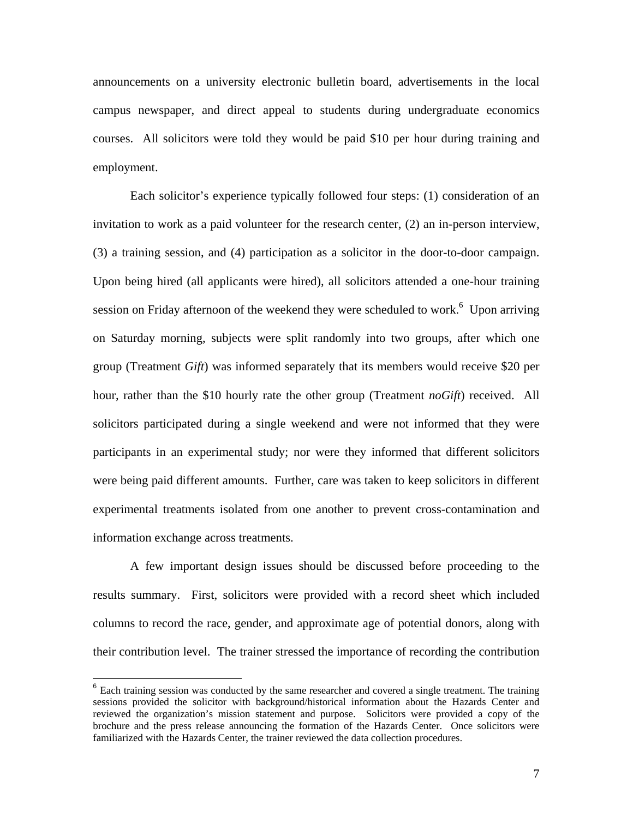announcements on a university electronic bulletin board, advertisements in the local campus newspaper, and direct appeal to students during undergraduate economics courses. All solicitors were told they would be paid \$10 per hour during training and employment.

Each solicitor's experience typically followed four steps: (1) consideration of an invitation to work as a paid volunteer for the research center, (2) an in-person interview, (3) a training session, and (4) participation as a solicitor in the door-to-door campaign. Upon being hired (all applicants were hired), all solicitors attended a one-hour training session on Friday afternoon of the weekend they were scheduled to work.<sup>6</sup> Upon arriving on Saturday morning, subjects were split randomly into two groups, after which one group (Treatment *Gift*) was informed separately that its members would receive \$20 per hour, rather than the \$10 hourly rate the other group (Treatment *noGift*) received. All solicitors participated during a single weekend and were not informed that they were participants in an experimental study; nor were they informed that different solicitors were being paid different amounts. Further, care was taken to keep solicitors in different experimental treatments isolated from one another to prevent cross-contamination and information exchange across treatments.

A few important design issues should be discussed before proceeding to the results summary. First, solicitors were provided with a record sheet which included columns to record the race, gender, and approximate age of potential donors, along with their contribution level. The trainer stressed the importance of recording the contribution

 $\overline{a}$ 

 $6$  Each training session was conducted by the same researcher and covered a single treatment. The training sessions provided the solicitor with background/historical information about the Hazards Center and reviewed the organization's mission statement and purpose. Solicitors were provided a copy of the brochure and the press release announcing the formation of the Hazards Center. Once solicitors were familiarized with the Hazards Center, the trainer reviewed the data collection procedures.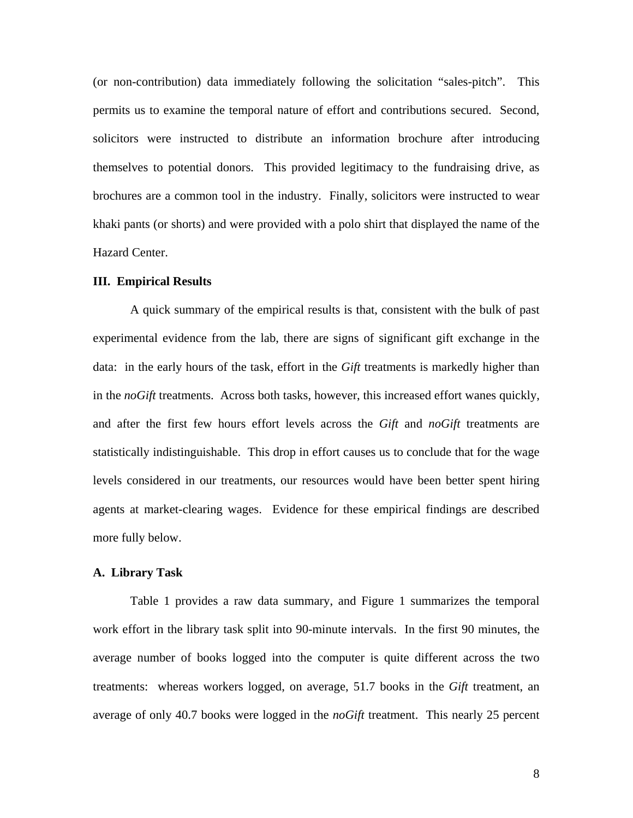(or non-contribution) data immediately following the solicitation "sales-pitch". This permits us to examine the temporal nature of effort and contributions secured. Second, solicitors were instructed to distribute an information brochure after introducing themselves to potential donors. This provided legitimacy to the fundraising drive, as brochures are a common tool in the industry. Finally, solicitors were instructed to wear khaki pants (or shorts) and were provided with a polo shirt that displayed the name of the Hazard Center.

### **III. Empirical Results**

A quick summary of the empirical results is that, consistent with the bulk of past experimental evidence from the lab, there are signs of significant gift exchange in the data: in the early hours of the task, effort in the *Gift* treatments is markedly higher than in the *noGift* treatments. Across both tasks, however, this increased effort wanes quickly, and after the first few hours effort levels across the *Gift* and *noGift* treatments are statistically indistinguishable. This drop in effort causes us to conclude that for the wage levels considered in our treatments, our resources would have been better spent hiring agents at market-clearing wages. Evidence for these empirical findings are described more fully below.

#### **A. Library Task**

Table 1 provides a raw data summary, and Figure 1 summarizes the temporal work effort in the library task split into 90-minute intervals. In the first 90 minutes, the average number of books logged into the computer is quite different across the two treatments: whereas workers logged, on average, 51.7 books in the *Gift* treatment, an average of only 40.7 books were logged in the *noGift* treatment. This nearly 25 percent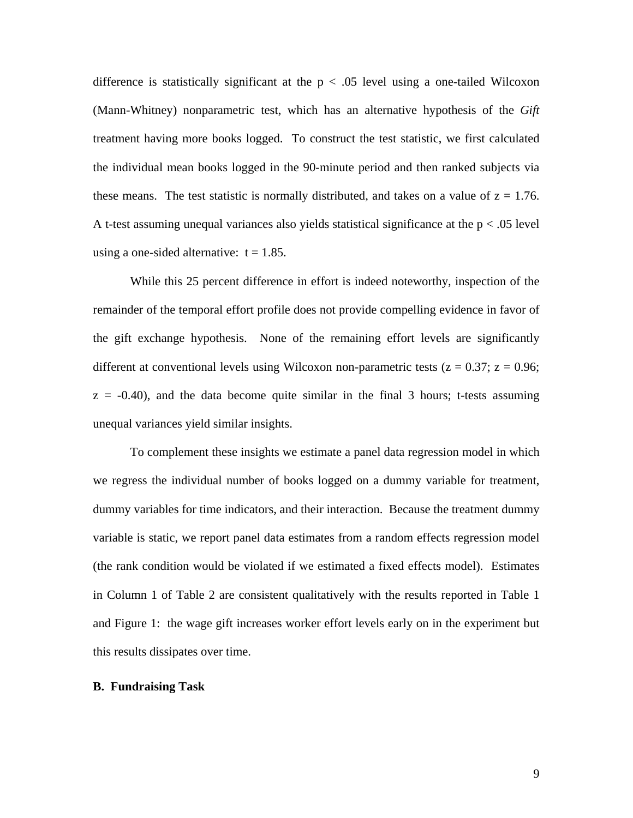difference is statistically significant at the  $p < .05$  level using a one-tailed Wilcoxon (Mann-Whitney) nonparametric test, which has an alternative hypothesis of the *Gift* treatment having more books logged. To construct the test statistic, we first calculated the individual mean books logged in the 90-minute period and then ranked subjects via these means. The test statistic is normally distributed, and takes on a value of  $z = 1.76$ . A t-test assuming unequal variances also yields statistical significance at the  $p < .05$  level using a one-sided alternative:  $t = 1.85$ .

While this 25 percent difference in effort is indeed noteworthy, inspection of the remainder of the temporal effort profile does not provide compelling evidence in favor of the gift exchange hypothesis. None of the remaining effort levels are significantly different at conventional levels using Wilcoxon non-parametric tests ( $z = 0.37$ ;  $z = 0.96$ ;  $z = -0.40$ , and the data become quite similar in the final 3 hours; t-tests assuming unequal variances yield similar insights.

To complement these insights we estimate a panel data regression model in which we regress the individual number of books logged on a dummy variable for treatment, dummy variables for time indicators, and their interaction. Because the treatment dummy variable is static, we report panel data estimates from a random effects regression model (the rank condition would be violated if we estimated a fixed effects model). Estimates in Column 1 of Table 2 are consistent qualitatively with the results reported in Table 1 and Figure 1: the wage gift increases worker effort levels early on in the experiment but this results dissipates over time.

# **B. Fundraising Task**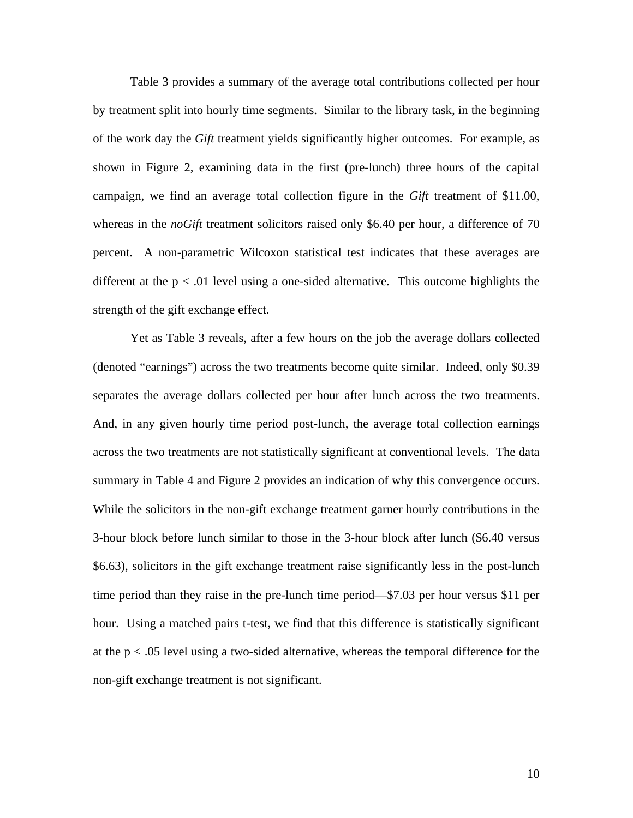Table 3 provides a summary of the average total contributions collected per hour by treatment split into hourly time segments. Similar to the library task, in the beginning of the work day the *Gift* treatment yields significantly higher outcomes. For example, as shown in Figure 2, examining data in the first (pre-lunch) three hours of the capital campaign, we find an average total collection figure in the *Gift* treatment of \$11.00, whereas in the *noGift* treatment solicitors raised only \$6.40 per hour, a difference of 70 percent. A non-parametric Wilcoxon statistical test indicates that these averages are different at the  $p < .01$  level using a one-sided alternative. This outcome highlights the strength of the gift exchange effect.

Yet as Table 3 reveals, after a few hours on the job the average dollars collected (denoted "earnings") across the two treatments become quite similar. Indeed, only \$0.39 separates the average dollars collected per hour after lunch across the two treatments. And, in any given hourly time period post-lunch, the average total collection earnings across the two treatments are not statistically significant at conventional levels. The data summary in Table 4 and Figure 2 provides an indication of why this convergence occurs. While the solicitors in the non-gift exchange treatment garner hourly contributions in the 3-hour block before lunch similar to those in the 3-hour block after lunch (\$6.40 versus \$6.63), solicitors in the gift exchange treatment raise significantly less in the post-lunch time period than they raise in the pre-lunch time period—\$7.03 per hour versus \$11 per hour. Using a matched pairs t-test, we find that this difference is statistically significant at the  $p < .05$  level using a two-sided alternative, whereas the temporal difference for the non-gift exchange treatment is not significant.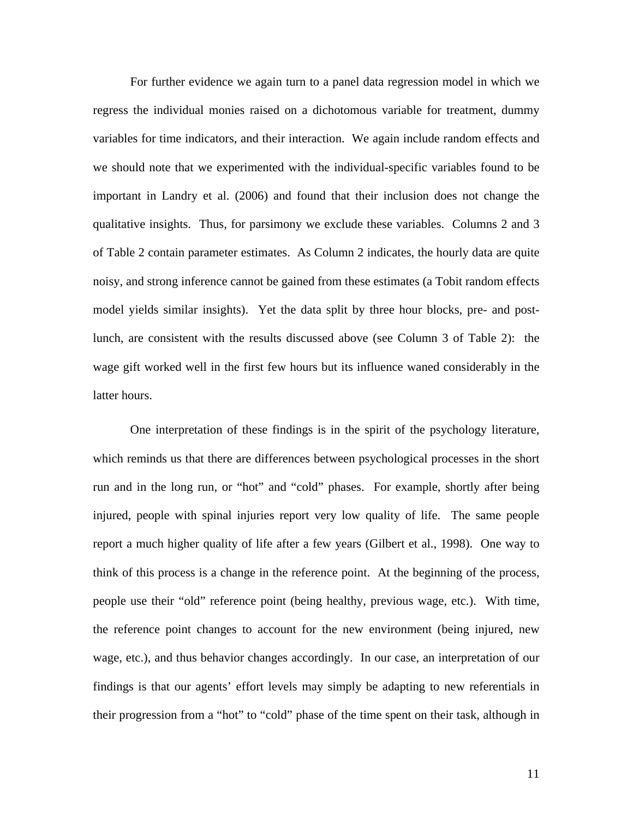For further evidence we again turn to a panel data regression model in which we regress the individual monies raised on a dichotomous variable for treatment, dummy variables for time indicators, and their interaction. We again include random effects and we should note that we experimented with the individual-specific variables found to be important in Landry et al. (2006) and found that their inclusion does not change the qualitative insights. Thus, for parsimony we exclude these variables. Columns 2 and 3 of Table 2 contain parameter estimates. As Column 2 indicates, the hourly data are quite noisy, and strong inference cannot be gained from these estimates (a Tobit random effects model yields similar insights). Yet the data split by three hour blocks, pre- and postlunch, are consistent with the results discussed above (see Column 3 of Table 2): the wage gift worked well in the first few hours but its influence waned considerably in the latter hours.

One interpretation of these findings is in the spirit of the psychology literature, which reminds us that there are differences between psychological processes in the short run and in the long run, or "hot" and "cold" phases. For example, shortly after being injured, people with spinal injuries report very low quality of life. The same people report a much higher quality of life after a few years (Gilbert et al., 1998). One way to think of this process is a change in the reference point. At the beginning of the process, people use their "old" reference point (being healthy, previous wage, etc.). With time, the reference point changes to account for the new environment (being injured, new wage, etc.), and thus behavior changes accordingly. In our case, an interpretation of our findings is that our agents' effort levels may simply be adapting to new referentials in their progression from a "hot" to "cold" phase of the time spent on their task, although in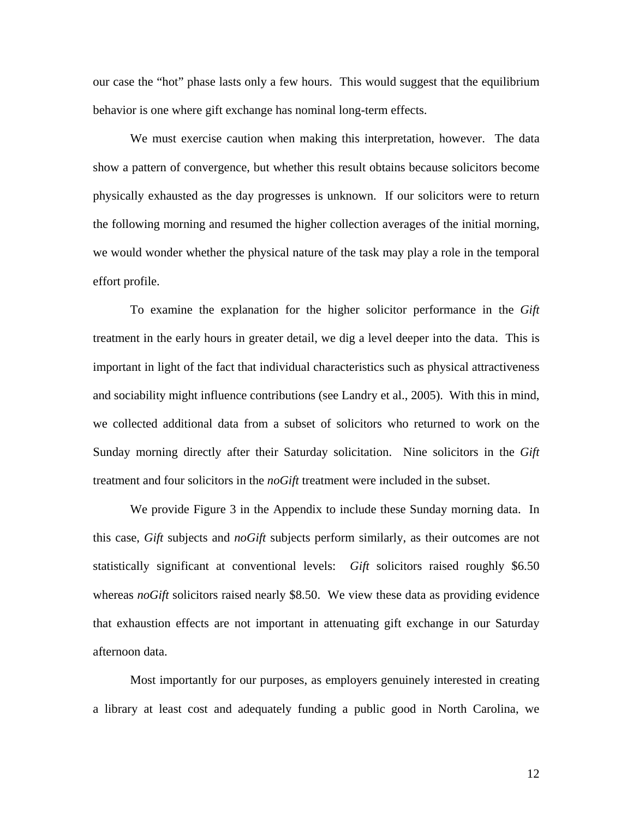our case the "hot" phase lasts only a few hours. This would suggest that the equilibrium behavior is one where gift exchange has nominal long-term effects.

We must exercise caution when making this interpretation, however. The data show a pattern of convergence, but whether this result obtains because solicitors become physically exhausted as the day progresses is unknown. If our solicitors were to return the following morning and resumed the higher collection averages of the initial morning, we would wonder whether the physical nature of the task may play a role in the temporal effort profile.

To examine the explanation for the higher solicitor performance in the *Gift* treatment in the early hours in greater detail, we dig a level deeper into the data. This is important in light of the fact that individual characteristics such as physical attractiveness and sociability might influence contributions (see Landry et al., 2005). With this in mind, we collected additional data from a subset of solicitors who returned to work on the Sunday morning directly after their Saturday solicitation. Nine solicitors in the *Gift* treatment and four solicitors in the *noGift* treatment were included in the subset.

We provide Figure 3 in the Appendix to include these Sunday morning data. In this case, *Gift* subjects and *noGift* subjects perform similarly, as their outcomes are not statistically significant at conventional levels: *Gift* solicitors raised roughly \$6.50 whereas *noGift* solicitors raised nearly \$8.50. We view these data as providing evidence that exhaustion effects are not important in attenuating gift exchange in our Saturday afternoon data.

Most importantly for our purposes, as employers genuinely interested in creating a library at least cost and adequately funding a public good in North Carolina, we

12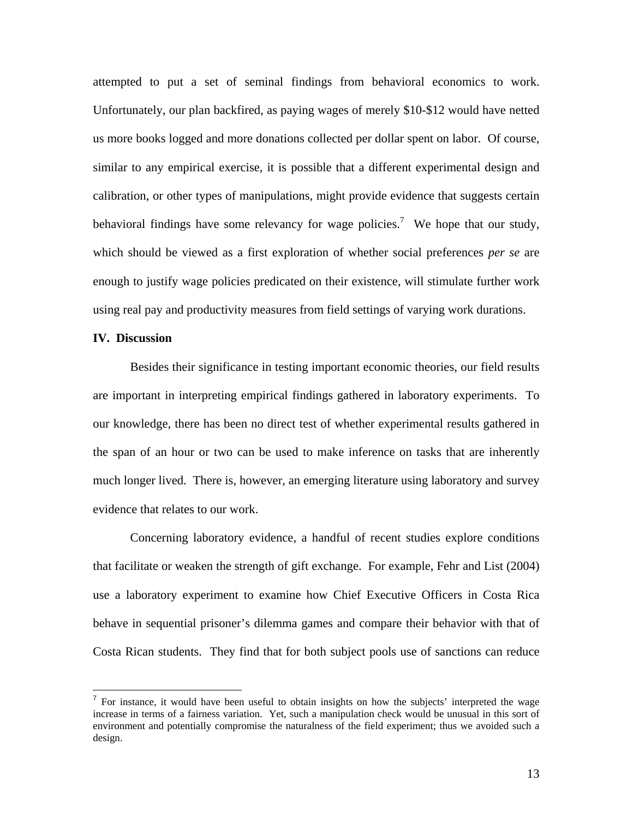attempted to put a set of seminal findings from behavioral economics to work. Unfortunately, our plan backfired, as paying wages of merely \$10-\$12 would have netted us more books logged and more donations collected per dollar spent on labor. Of course, similar to any empirical exercise, it is possible that a different experimental design and calibration, or other types of manipulations, might provide evidence that suggests certain behavioral findings have some relevancy for wage policies.<sup>7</sup> We hope that our study, which should be viewed as a first exploration of whether social preferences *per se* are enough to justify wage policies predicated on their existence, will stimulate further work using real pay and productivity measures from field settings of varying work durations.

## **IV. Discussion**

<u>.</u>

Besides their significance in testing important economic theories, our field results are important in interpreting empirical findings gathered in laboratory experiments. To our knowledge, there has been no direct test of whether experimental results gathered in the span of an hour or two can be used to make inference on tasks that are inherently much longer lived. There is, however, an emerging literature using laboratory and survey evidence that relates to our work.

Concerning laboratory evidence, a handful of recent studies explore conditions that facilitate or weaken the strength of gift exchange. For example, Fehr and List (2004) use a laboratory experiment to examine how Chief Executive Officers in Costa Rica behave in sequential prisoner's dilemma games and compare their behavior with that of Costa Rican students. They find that for both subject pools use of sanctions can reduce

 $<sup>7</sup>$  For instance, it would have been useful to obtain insights on how the subjects' interpreted the wage</sup> increase in terms of a fairness variation. Yet, such a manipulation check would be unusual in this sort of environment and potentially compromise the naturalness of the field experiment; thus we avoided such a design.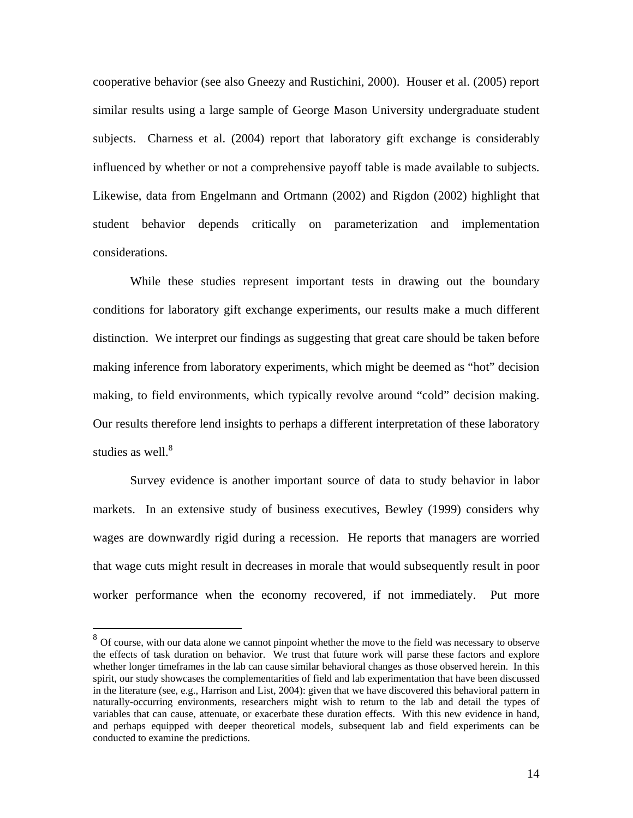cooperative behavior (see also Gneezy and Rustichini, 2000). Houser et al. (2005) report similar results using a large sample of George Mason University undergraduate student subjects. Charness et al. (2004) report that laboratory gift exchange is considerably influenced by whether or not a comprehensive payoff table is made available to subjects. Likewise, data from Engelmann and Ortmann (2002) and Rigdon (2002) highlight that student behavior depends critically on parameterization and implementation considerations.

While these studies represent important tests in drawing out the boundary conditions for laboratory gift exchange experiments, our results make a much different distinction. We interpret our findings as suggesting that great care should be taken before making inference from laboratory experiments, which might be deemed as "hot" decision making, to field environments, which typically revolve around "cold" decision making. Our results therefore lend insights to perhaps a different interpretation of these laboratory studies as well. $8$ 

 Survey evidence is another important source of data to study behavior in labor markets. In an extensive study of business executives, Bewley (1999) considers why wages are downwardly rigid during a recession. He reports that managers are worried that wage cuts might result in decreases in morale that would subsequently result in poor worker performance when the economy recovered, if not immediately. Put more

1

 $8\,$  Of course, with our data alone we cannot pinpoint whether the move to the field was necessary to observe the effects of task duration on behavior. We trust that future work will parse these factors and explore whether longer timeframes in the lab can cause similar behavioral changes as those observed herein. In this spirit, our study showcases the complementarities of field and lab experimentation that have been discussed in the literature (see, e.g., Harrison and List, 2004): given that we have discovered this behavioral pattern in naturally-occurring environments, researchers might wish to return to the lab and detail the types of variables that can cause, attenuate, or exacerbate these duration effects. With this new evidence in hand, and perhaps equipped with deeper theoretical models, subsequent lab and field experiments can be conducted to examine the predictions.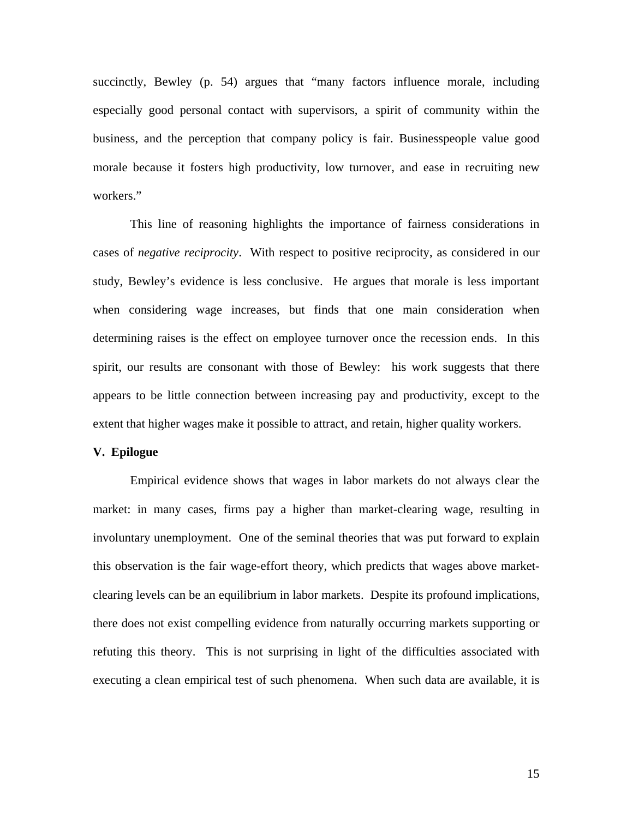succinctly, Bewley (p. 54) argues that "many factors influence morale, including especially good personal contact with supervisors, a spirit of community within the business, and the perception that company policy is fair. Businesspeople value good morale because it fosters high productivity, low turnover, and ease in recruiting new workers."

This line of reasoning highlights the importance of fairness considerations in cases of *negative reciprocity*. With respect to positive reciprocity, as considered in our study, Bewley's evidence is less conclusive. He argues that morale is less important when considering wage increases, but finds that one main consideration when determining raises is the effect on employee turnover once the recession ends. In this spirit, our results are consonant with those of Bewley: his work suggests that there appears to be little connection between increasing pay and productivity, except to the extent that higher wages make it possible to attract, and retain, higher quality workers.

# **V. Epilogue**

Empirical evidence shows that wages in labor markets do not always clear the market: in many cases, firms pay a higher than market-clearing wage, resulting in involuntary unemployment. One of the seminal theories that was put forward to explain this observation is the fair wage-effort theory, which predicts that wages above marketclearing levels can be an equilibrium in labor markets. Despite its profound implications, there does not exist compelling evidence from naturally occurring markets supporting or refuting this theory. This is not surprising in light of the difficulties associated with executing a clean empirical test of such phenomena. When such data are available, it is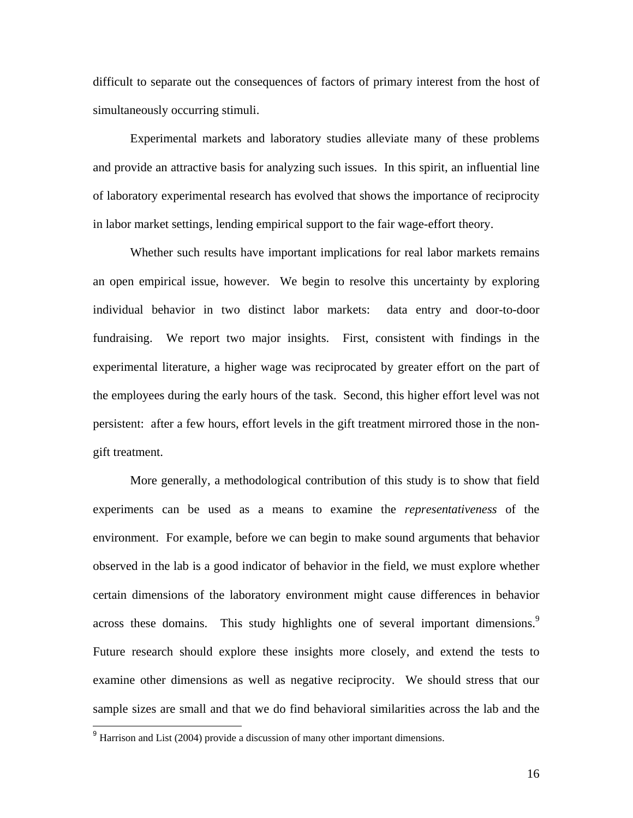difficult to separate out the consequences of factors of primary interest from the host of simultaneously occurring stimuli.

Experimental markets and laboratory studies alleviate many of these problems and provide an attractive basis for analyzing such issues. In this spirit, an influential line of laboratory experimental research has evolved that shows the importance of reciprocity in labor market settings, lending empirical support to the fair wage-effort theory.

Whether such results have important implications for real labor markets remains an open empirical issue, however. We begin to resolve this uncertainty by exploring individual behavior in two distinct labor markets: data entry and door-to-door fundraising. We report two major insights. First, consistent with findings in the experimental literature, a higher wage was reciprocated by greater effort on the part of the employees during the early hours of the task. Second, this higher effort level was not persistent: after a few hours, effort levels in the gift treatment mirrored those in the nongift treatment.

More generally, a methodological contribution of this study is to show that field experiments can be used as a means to examine the *representativeness* of the environment. For example, before we can begin to make sound arguments that behavior observed in the lab is a good indicator of behavior in the field, we must explore whether certain dimensions of the laboratory environment might cause differences in behavior across these domains. This study highlights one of several important dimensions.<sup>9</sup> Future research should explore these insights more closely, and extend the tests to examine other dimensions as well as negative reciprocity. We should stress that our sample sizes are small and that we do find behavioral similarities across the lab and the

<u>.</u>

 $9$  Harrison and List (2004) provide a discussion of many other important dimensions.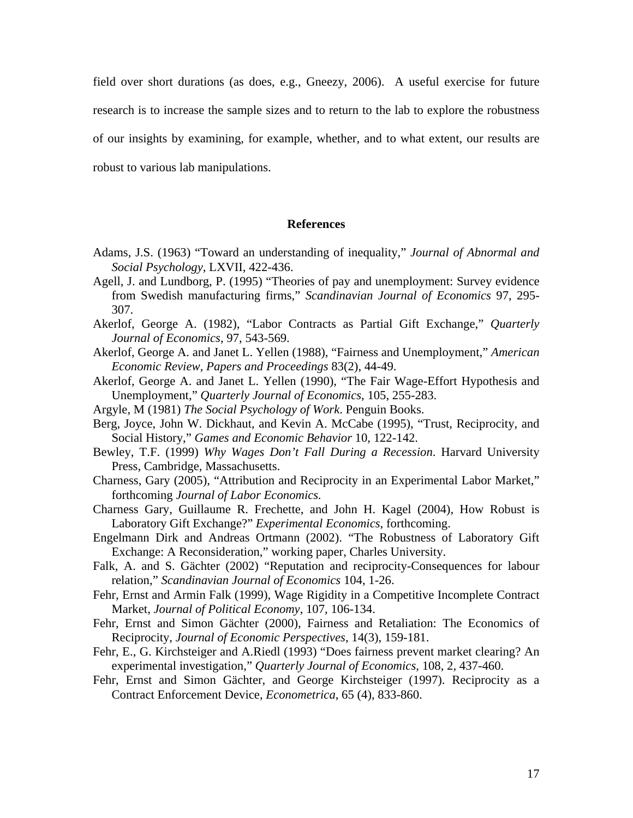field over short durations (as does, e.g., Gneezy, 2006). A useful exercise for future research is to increase the sample sizes and to return to the lab to explore the robustness of our insights by examining, for example, whether, and to what extent, our results are robust to various lab manipulations.

## **References**

- Adams, J.S. (1963) "Toward an understanding of inequality," *Journal of Abnormal and Social Psychology*, LXVII, 422-436.
- Agell, J. and Lundborg, P. (1995) "Theories of pay and unemployment: Survey evidence from Swedish manufacturing firms," *Scandinavian Journal of Economics* 97, 295- 307.
- Akerlof, George A. (1982), "Labor Contracts as Partial Gift Exchange," *Quarterly Journal of Economics*, 97, 543-569.
- Akerlof, George A. and Janet L. Yellen (1988), "Fairness and Unemployment," *American Economic Review, Papers and Proceedings* 83(2), 44-49.
- Akerlof, George A. and Janet L. Yellen (1990), "The Fair Wage-Effort Hypothesis and Unemployment," *Quarterly Journal of Economics*, 105, 255-283.
- Argyle, M (1981) *The Social Psychology of Work*. Penguin Books.
- Berg, Joyce, John W. Dickhaut, and Kevin A. McCabe (1995), "Trust, Reciprocity, and Social History," *Games and Economic Behavior* 10, 122-142.
- Bewley, T.F. (1999) *Why Wages Don't Fall During a Recession*. Harvard University Press, Cambridge, Massachusetts.
- Charness, Gary (2005), "Attribution and Reciprocity in an Experimental Labor Market," forthcoming *Journal of Labor Economics.*
- Charness Gary, Guillaume R. Frechette, and John H. Kagel (2004), How Robust is Laboratory Gift Exchange?" *Experimental Economics*, forthcoming.
- Engelmann Dirk and Andreas Ortmann (2002). "The Robustness of Laboratory Gift Exchange: A Reconsideration," working paper, Charles University.
- Falk, A. and S. Gächter (2002) "Reputation and reciprocity-Consequences for labour relation," *Scandinavian Journal of Economics* 104, 1-26.
- Fehr, Ernst and Armin Falk (1999), Wage Rigidity in a Competitive Incomplete Contract Market, *Journal of Political Economy*, 107, 106-134.
- Fehr, Ernst and Simon Gächter (2000), Fairness and Retaliation: The Economics of Reciprocity, *Journal of Economic Perspectives*, 14(3), 159-181.
- Fehr, E., G. Kirchsteiger and A.Riedl (1993) "Does fairness prevent market clearing? An experimental investigation," *Quarterly Journal of Economics*, 108, 2, 437-460.
- Fehr, Ernst and Simon Gächter, and George Kirchsteiger (1997). Reciprocity as a Contract Enforcement Device, *Econometrica*, 65 (4), 833-860.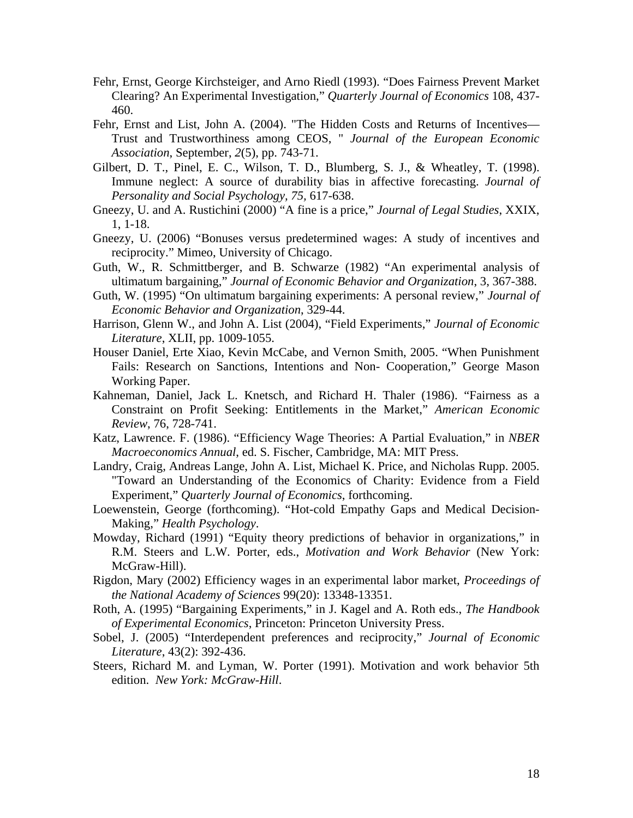- Fehr, Ernst, George Kirchsteiger, and Arno Riedl (1993). "Does Fairness Prevent Market Clearing? An Experimental Investigation," *Quarterly Journal of Economics* 108, 437- 460.
- Fehr, Ernst and List, John A. (2004). "The Hidden Costs and Returns of Incentives— Trust and Trustworthiness among CEOS, " *Journal of the European Economic Association*, September, *2*(5), pp. 743-71.
- Gilbert, D. T., Pinel, E. C., Wilson, T. D., Blumberg, S. J., & Wheatley, T. (1998). Immune neglect: A source of durability bias in affective forecasting. *Journal of Personality and Social Psychology, 75,* 617-638.
- Gneezy, U. and A. Rustichini (2000) "A fine is a price," *Journal of Legal Studies*, XXIX, 1, 1-18.
- Gneezy, U. (2006) "Bonuses versus predetermined wages: A study of incentives and reciprocity." Mimeo, University of Chicago.
- Guth, W., R. Schmittberger, and B. Schwarze (1982) "An experimental analysis of ultimatum bargaining," *Journal of Economic Behavior and Organization*, 3, 367-388.
- Guth, W. (1995) "On ultimatum bargaining experiments: A personal review," *Journal of Economic Behavior and Organization*, 329-44.
- Harrison, Glenn W., and John A. List (2004), "Field Experiments," *Journal of Economic Literature*, XLII, pp. 1009-1055.
- Houser Daniel, Erte Xiao, Kevin McCabe, and Vernon Smith, 2005. "When Punishment Fails: Research on Sanctions, Intentions and Non- Cooperation," George Mason Working Paper.
- Kahneman, Daniel, Jack L. Knetsch, and Richard H. Thaler (1986). "Fairness as a Constraint on Profit Seeking: Entitlements in the Market," *American Economic Review*, 76, 728-741.
- Katz, Lawrence. F. (1986). "Efficiency Wage Theories: A Partial Evaluation," in *NBER Macroeconomics Annual*, ed. S. Fischer, Cambridge, MA: MIT Press.
- Landry, Craig, Andreas Lange, John A. List, Michael K. Price, and Nicholas Rupp. 2005. "Toward an Understanding of the Economics of Charity: Evidence from a Field Experiment," *Quarterly Journal of Economics*, forthcoming.
- Loewenstein, George (forthcoming). "Hot-cold Empathy Gaps and Medical Decision-Making," *Health Psychology*.
- Mowday, Richard (1991) "Equity theory predictions of behavior in organizations," in R.M. Steers and L.W. Porter, eds., *Motivation and Work Behavior* (New York: McGraw-Hill).
- Rigdon, Mary (2002) Efficiency wages in an experimental labor market, *Proceedings of the National Academy of Sciences* 99(20): 13348-13351.
- Roth, A. (1995) "Bargaining Experiments," in J. Kagel and A. Roth eds., *The Handbook of Experimental Economics*, Princeton: Princeton University Press.
- Sobel, J. (2005) "Interdependent preferences and reciprocity," *Journal of Economic Literature*, 43(2): 392-436.
- Steers, Richard M. and Lyman, W. Porter (1991). Motivation and work behavior 5th edition. *New York: McGraw-Hill*.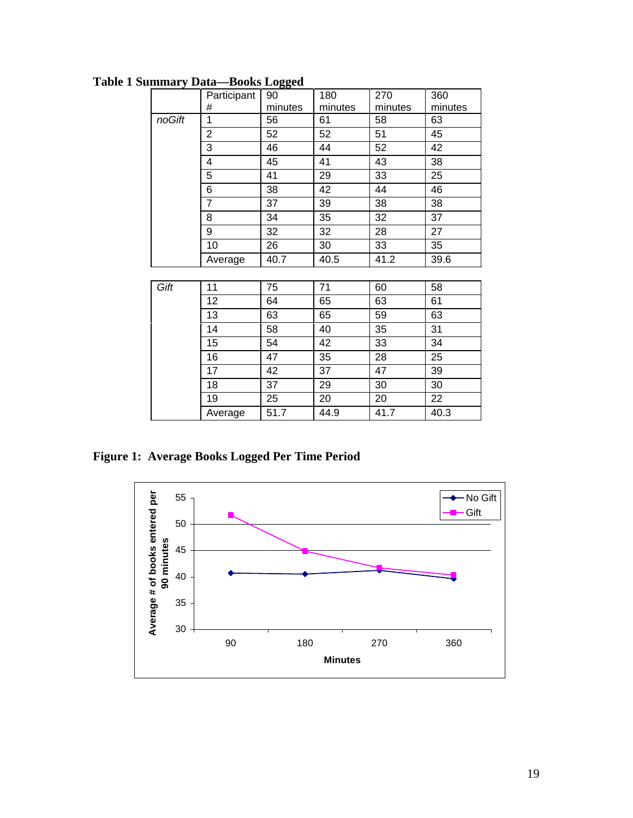|        | Participant    | 90      | 180     | 270     | 360     |
|--------|----------------|---------|---------|---------|---------|
|        | #              |         | minutes | minutes |         |
|        |                | minutes |         |         | minutes |
| noGift | 1              | 56      | 61      | 58      | 63      |
|        | $\overline{2}$ | 52      | 52      | 51      | 45      |
|        | 3              | 46      | 44      | 52      | 42      |
|        | 4              | 45      | 41      | 43      | 38      |
|        | 5              | 41      | 29      | 33      | 25      |
|        | 6              | 38      | 42      | 44      | 46      |
|        | $\overline{7}$ | 37      | 39      | 38      | 38      |
|        | 8              | 34      | 35      | 32      | 37      |
|        | 9              | 32      | 32      | 28      | 27      |
|        | 10             | 26      | 30      | 33      | 35      |
|        | Average        | 40.7    | 40.5    | 41.2    | 39.6    |
|        |                |         |         |         |         |
| Gift   | 11             | 75      | 71      | 60      | 58      |
|        | 12             | 64      | 65      | 63      | 61      |
|        | 13             | 63      | 65      | 59      | 63      |
|        | 14             | 58      | 40      | 35      | 31      |
|        | 15             | 54      | 42      | 33      | 34      |
|        | 16             | 47      | 35      | 28      | 25      |
|        | 17             | 42      | 37      | 47      | 39      |
|        | 18             | 37      | 29      | 30      | 30      |
|        | 19             | 25      | 20      | 20      | 22      |
|        | Average        | 51.7    | 44.9    | 41.7    | 40.3    |

**Table 1 Summary Data—Books Logged** 

**Figure 1: Average Books Logged Per Time Period** 

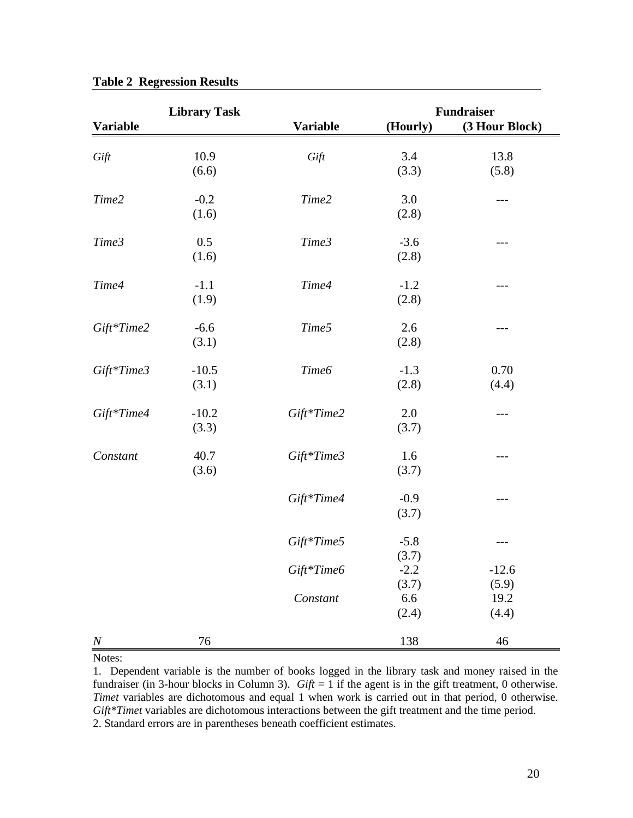|                  | <b>Library Task</b> |                 | <b>Fundraiser</b> |                |  |
|------------------|---------------------|-----------------|-------------------|----------------|--|
| <b>Variable</b>  |                     | <b>Variable</b> | (Hourly)          | (3 Hour Block) |  |
|                  | 10.9                | Gift            | 3.4               | 13.8           |  |
| Gift             | (6.6)               |                 | (3.3)             | (5.8)          |  |
|                  |                     |                 |                   |                |  |
| Time2            | $-0.2$              | Time2           | 3.0               | ---            |  |
|                  | (1.6)               |                 | (2.8)             |                |  |
| Time3            | 0.5                 | Time3           | $-3.6$            | ---            |  |
|                  | (1.6)               |                 | (2.8)             |                |  |
|                  |                     |                 |                   |                |  |
| Time4            | $-1.1$              | Time4           | $-1.2$            | $---$          |  |
|                  | (1.9)               |                 | (2.8)             |                |  |
| Gift*Time2       | $-6.6$              | Time5           | 2.6               | ---            |  |
|                  | (3.1)               |                 | (2.8)             |                |  |
|                  |                     |                 |                   |                |  |
| Gift*Time3       | $-10.5$             | Time6           | $-1.3$            | 0.70           |  |
|                  | (3.1)               |                 | (2.8)             | (4.4)          |  |
| Gift*Time4       | $-10.2$             | Gift*Time2      | 2.0               | ---            |  |
|                  | (3.3)               |                 | (3.7)             |                |  |
| Constant         | 40.7                | Gift*Time3      | 1.6               | ---            |  |
|                  | (3.6)               |                 | (3.7)             |                |  |
|                  |                     |                 |                   |                |  |
|                  |                     | Gift*Time4      | $-0.9$            | ---            |  |
|                  |                     |                 | (3.7)             |                |  |
|                  |                     | Gift*Time5      | $-5.8$            | ---            |  |
|                  |                     |                 | (3.7)             |                |  |
|                  |                     | Gift*Time6      | $-2.2$            | $-12.6$        |  |
|                  |                     |                 | (3.7)             | (5.9)          |  |
|                  |                     | Constant        | 6.6               | 19.2           |  |
|                  |                     |                 | (2.4)             | (4.4)          |  |
| $\boldsymbol{N}$ | 76                  |                 | 138               | $46\,$         |  |

**Table 2 Regression Results** 

Notes:

<sup>1.</sup> Dependent variable is the number of books logged in the library task and money raised in the fundraiser (in 3-hour blocks in Column 3).  $Gift = 1$  if the agent is in the gift treatment, 0 otherwise. *Timet* variables are dichotomous and equal 1 when work is carried out in that period, 0 otherwise. *Gift\*Timet* variables are dichotomous interactions between the gift treatment and the time period. 2. Standard errors are in parentheses beneath coefficient estimates.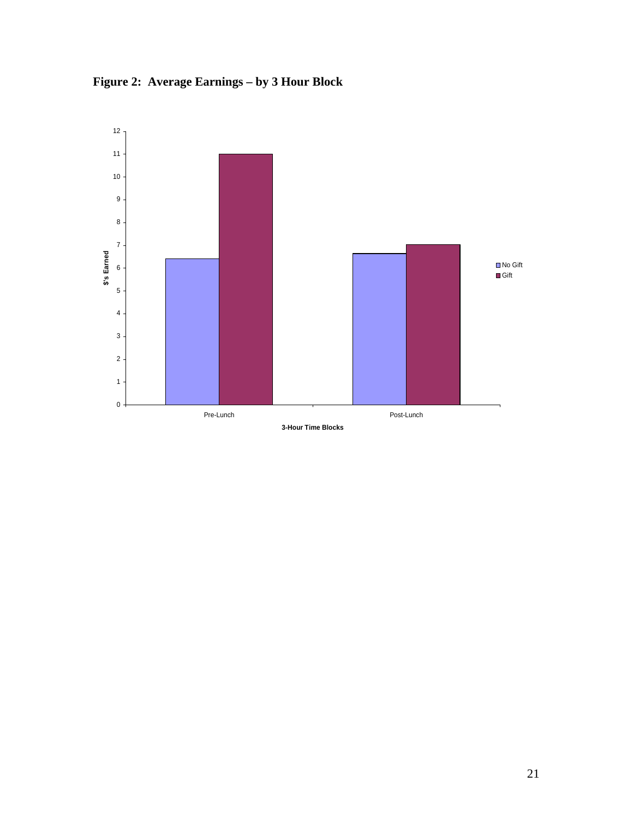

**Figure 2: Average Earnings – by 3 Hour Block**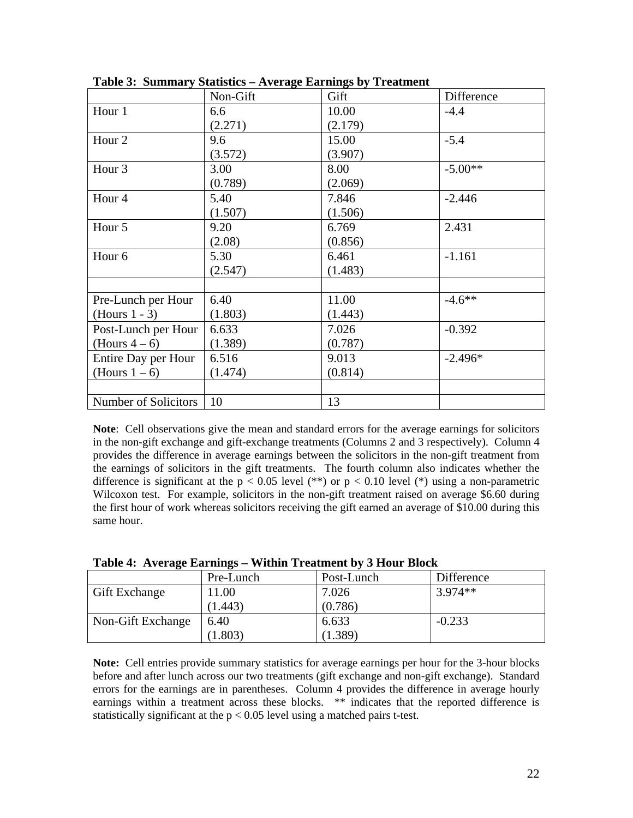|                      | Non-Gift | Gift    | Difference |
|----------------------|----------|---------|------------|
| Hour 1               | 6.6      | 10.00   | $-4.4$     |
|                      | (2.271)  | (2.179) |            |
| Hour <sub>2</sub>    | 9.6      | 15.00   | $-5.4$     |
|                      | (3.572)  | (3.907) |            |
| Hour <sub>3</sub>    | 3.00     | 8.00    | $-5.00**$  |
|                      | (0.789)  | (2.069) |            |
| Hour <sub>4</sub>    | 5.40     | 7.846   | $-2.446$   |
|                      | (1.507)  | (1.506) |            |
| Hour 5               | 9.20     | 6.769   | 2.431      |
|                      | (2.08)   | (0.856) |            |
| Hour <sub>6</sub>    | 5.30     | 6.461   | $-1.161$   |
|                      | (2.547)  | (1.483) |            |
|                      |          |         |            |
| Pre-Lunch per Hour   | 6.40     | 11.00   | $-4.6***$  |
| $(Hours 1 - 3)$      | (1.803)  | (1.443) |            |
| Post-Lunch per Hour  | 6.633    | 7.026   | $-0.392$   |
| (Hours $4-6$ )       | (1.389)  | (0.787) |            |
| Entire Day per Hour  | 6.516    | 9.013   | $-2.496*$  |
| (Hours $1-6$ )       | (1.474)  | (0.814) |            |
|                      |          |         |            |
| Number of Solicitors | 10       | 13      |            |

**Table 3: Summary Statistics – Average Earnings by Treatment** 

**Note**: Cell observations give the mean and standard errors for the average earnings for solicitors in the non-gift exchange and gift-exchange treatments (Columns 2 and 3 respectively). Column 4 provides the difference in average earnings between the solicitors in the non-gift treatment from the earnings of solicitors in the gift treatments. The fourth column also indicates whether the difference is significant at the  $p < 0.05$  level (\*\*) or  $p < 0.10$  level (\*) using a non-parametric Wilcoxon test. For example, solicitors in the non-gift treatment raised on average \$6.60 during the first hour of work whereas solicitors receiving the gift earned an average of \$10.00 during this same hour.

| $1$ ably $\pi$ . Average Earlings – Whinn Treatment by J Hour Diock |           |            |            |  |  |
|---------------------------------------------------------------------|-----------|------------|------------|--|--|
|                                                                     | Pre-Lunch | Post-Lunch | Difference |  |  |
| <b>Gift Exchange</b>                                                | 11.00     | 7.026      | $3.974**$  |  |  |
|                                                                     | (1.443)   | (0.786)    |            |  |  |
| Non-Gift Exchange                                                   | 6.40      | 6.633      | $-0.233$   |  |  |
|                                                                     | (1.803)   | 1.389      |            |  |  |

**Table 4: Average Earnings – Within Treatment by 3 Hour Block** 

**Note:** Cell entries provide summary statistics for average earnings per hour for the 3-hour blocks before and after lunch across our two treatments (gift exchange and non-gift exchange). Standard errors for the earnings are in parentheses. Column 4 provides the difference in average hourly earnings within a treatment across these blocks. \*\* indicates that the reported difference is statistically significant at the  $p < 0.05$  level using a matched pairs t-test.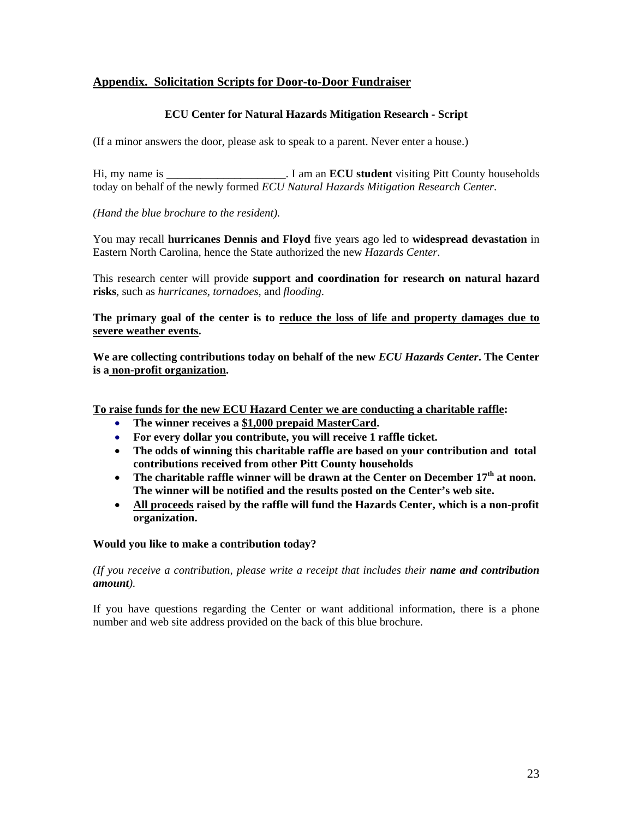# **Appendix. Solicitation Scripts for Door-to-Door Fundraiser**

# **ECU Center for Natural Hazards Mitigation Research - Script**

(If a minor answers the door, please ask to speak to a parent. Never enter a house.)

Hi, my name is \_\_\_\_\_\_\_\_\_\_\_\_\_\_\_\_\_\_\_\_\_. I am an **ECU student** visiting Pitt County households today on behalf of the newly formed *ECU Natural Hazards Mitigation Research Center*.

*(Hand the blue brochure to the resident).* 

You may recall **hurricanes Dennis and Floyd** five years ago led to **widespread devastation** in Eastern North Carolina, hence the State authorized the new *Hazards Center*.

This research center will provide **support and coordination for research on natural hazard risks**, such as *hurricanes, tornadoes*, and *flooding*.

**The primary goal of the center is to reduce the loss of life and property damages due to severe weather events.**

**We are collecting contributions today on behalf of the new** *ECU Hazards Center***. The Center is a non-profit organization.** 

**To raise funds for the new ECU Hazard Center we are conducting a charitable raffle:** 

- **The winner receives a \$1,000 prepaid MasterCard.**
- **For every dollar you contribute, you will receive 1 raffle ticket.**
- **The odds of winning this charitable raffle are based on your contribution and total contributions received from other Pitt County households**
- The charitable raffle winner will be drawn at the Center on December 17<sup>th</sup> at noon. **The winner will be notified and the results posted on the Center's web site.**
- **All proceeds raised by the raffle will fund the Hazards Center, which is a non-profit organization.**

# **Would you like to make a contribution today?**

*(If you receive a contribution, please write a receipt that includes their name and contribution amount).* 

If you have questions regarding the Center or want additional information, there is a phone number and web site address provided on the back of this blue brochure.